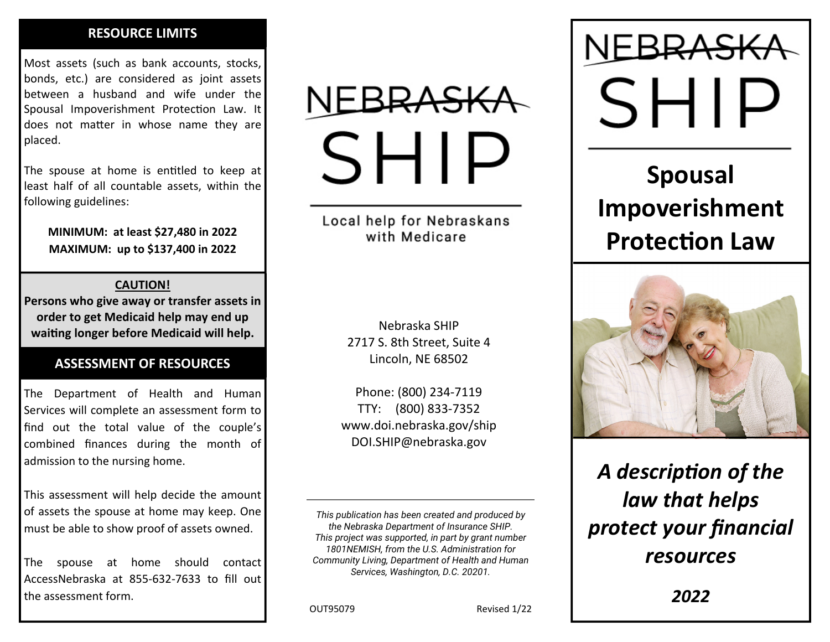## **RESOURCE LIMITS**

Most assets (such as bank accounts, stocks, bonds, etc.) are considered as joint assets between <sup>a</sup> husband and wife under the Spousal Impoverishment Protection Law. It does not matter in whose name they are placed.

The spouse at home is enƟtled to keep at least half of all countable assets, within the following guidelines:

**MINIMUM: at least \$27,480 in 2022 MAXIMUM: up to \$137,400 in 2022** 

### **CAUTION!**

**Persons who give away or transfer assets in order to get Medicaid help may end up waiƟng longer before Medicaid will help.** 

# **ASSESSMENT OF RESOURCES**

The Department of Health and Human Services will complete an assessment form to find out the total value of the couple's combined finances during the month of admission to the nursing home.

This assessment will help decide the amount of assets the spouse at home may keep. One must be able to show proof of assets owned.

The spouse at home should contact AccessNebraska at 855‐632‐7633 to fill out the assessment form.

# SHI.

Local help for Nebraskans with Medicare

> Nebraska SHIP2717 S. 8th Street, Suite 4 Lincoln, NE 68502

Phone: (800) 234‐7119 TTY: (800) 833‐7352 www.doi.nebraska.gov/ship DOI.SHIP@nebraska.gov

*This publication has been created and produced by the Nebraska Department of Insurance SHIP. This project was supported, in part by grant number 1801NEMISH, from the U.S. Administration for Community Living, Department of Health and Human Services, Washington, D.C. 20201.* 

SHI.

# **Spousal Impoverishment Protection Law**



*A descripƟon of the law that helps protect your financial resources* 

OUT95079

Revised 1/22

*2022*